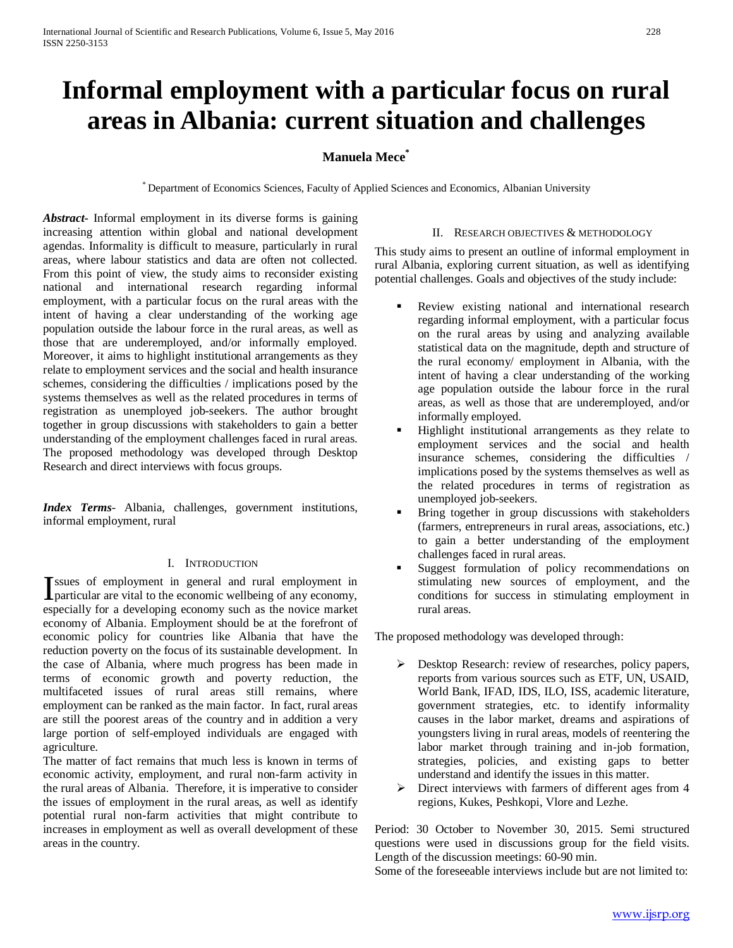# **Informal employment with a particular focus on rural areas in Albania: current situation and challenges**

# **Manuela Mece\***

\* Department of Economics Sciences, Faculty of Applied Sciences and Economics, Albanian University

*Abstract***-** Informal employment in its diverse forms is gaining increasing attention within global and national development agendas. Informality is difficult to measure, particularly in rural areas, where labour statistics and data are often not collected. From this point of view, the study aims to reconsider existing national and international research regarding informal employment, with a particular focus on the rural areas with the intent of having a clear understanding of the working age population outside the labour force in the rural areas, as well as those that are underemployed, and/or informally employed. Moreover, it aims to highlight institutional arrangements as they relate to employment services and the social and health insurance schemes, considering the difficulties / implications posed by the systems themselves as well as the related procedures in terms of registration as unemployed job-seekers. The author brought together in group discussions with stakeholders to gain a better understanding of the employment challenges faced in rural areas. The proposed methodology was developed through Desktop Research and direct interviews with focus groups.

*Index Terms*- Albania, challenges, government institutions, informal employment, rural

#### I. INTRODUCTION

ssues of employment in general and rural employment in Issues of employment in general and rural employment in particular are vital to the economic wellbeing of any economy, especially for a developing economy such as the novice market economy of Albania. Employment should be at the forefront of economic policy for countries like Albania that have the reduction poverty on the focus of its sustainable development. In the case of Albania, where much progress has been made in terms of economic growth and poverty reduction, the multifaceted issues of rural areas still remains, where employment can be ranked as the main factor. In fact, rural areas are still the poorest areas of the country and in addition a very large portion of self-employed individuals are engaged with agriculture.

The matter of fact remains that much less is known in terms of economic activity, employment, and rural non-farm activity in the rural areas of Albania. Therefore, it is imperative to consider the issues of employment in the rural areas, as well as identify potential rural non-farm activities that might contribute to increases in employment as well as overall development of these areas in the country.

### II. RESEARCH OBJECTIVES & METHODOLOGY

This study aims to present an outline of informal employment in rural Albania, exploring current situation, as well as identifying potential challenges. Goals and objectives of the study include:

- Review existing national and international research regarding informal employment, with a particular focus on the rural areas by using and analyzing available statistical data on the magnitude, depth and structure of the rural economy/ employment in Albania, with the intent of having a clear understanding of the working age population outside the labour force in the rural areas, as well as those that are underemployed, and/or informally employed.
- Highlight institutional arrangements as they relate to employment services and the social and health insurance schemes, considering the difficulties / implications posed by the systems themselves as well as the related procedures in terms of registration as unemployed job-seekers.
- Bring together in group discussions with stakeholders (farmers, entrepreneurs in rural areas, associations, etc.) to gain a better understanding of the employment challenges faced in rural areas.
- Suggest formulation of policy recommendations on stimulating new sources of employment, and the conditions for success in stimulating employment in rural areas.

The proposed methodology was developed through:

- Desktop Research: review of researches, policy papers, reports from various sources such as ETF, UN, USAID, World Bank, IFAD, IDS, ILO, ISS, academic literature, government strategies, etc. to identify informality causes in the labor market, dreams and aspirations of youngsters living in rural areas, models of reentering the labor market through training and in-job formation, strategies, policies, and existing gaps to better understand and identify the issues in this matter.
- $\triangleright$  Direct interviews with farmers of different ages from 4 regions, Kukes, Peshkopi, Vlore and Lezhe.

Period: 30 October to November 30, 2015. Semi structured questions were used in discussions group for the field visits. Length of the discussion meetings: 60-90 min.

Some of the foreseeable interviews include but are not limited to: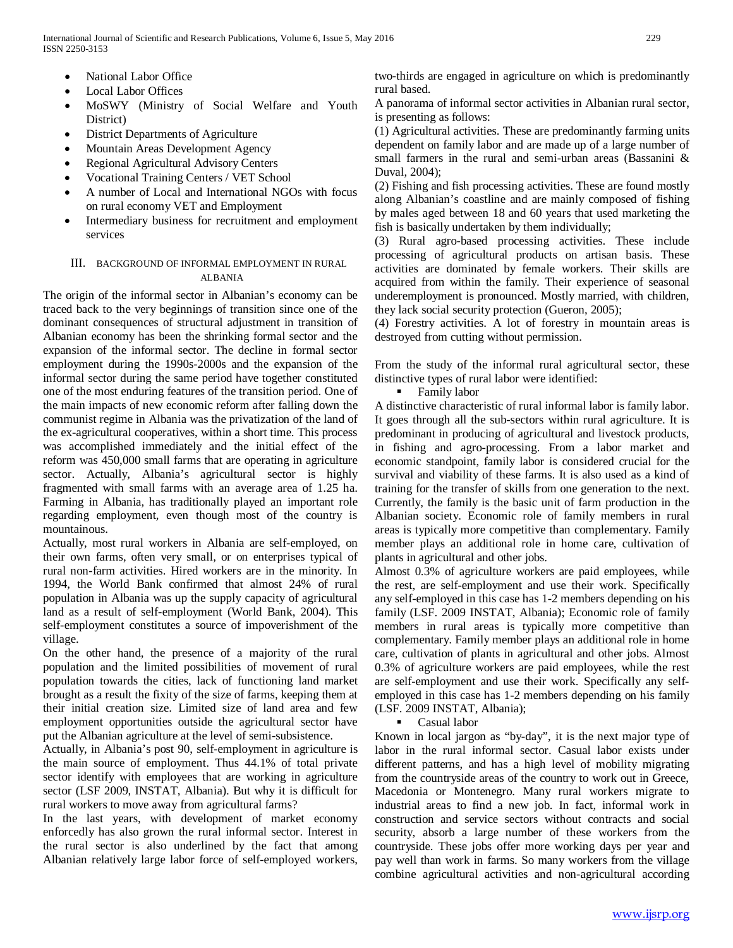- National Labor Office
- Local Labor Offices
- MoSWY (Ministry of Social Welfare and Youth District)
- District Departments of Agriculture
- Mountain Areas Development Agency
- Regional Agricultural Advisory Centers
- Vocational Training Centers / VET School
- A number of Local and International NGOs with focus on rural economy VET and Employment
- Intermediary business for recruitment and employment services

## III. BACKGROUND OF INFORMAL EMPLOYMENT IN RURAL ALBANIA

The origin of the informal sector in Albanian's economy can be traced back to the very beginnings of transition since one of the dominant consequences of structural adjustment in transition of Albanian economy has been the shrinking formal sector and the expansion of the informal sector. The decline in formal sector employment during the 1990s-2000s and the expansion of the informal sector during the same period have together constituted one of the most enduring features of the transition period. One of the main impacts of new economic reform after falling down the communist regime in Albania was the privatization of the land of the ex-agricultural cooperatives, within a short time. This process was accomplished immediately and the initial effect of the reform was 450,000 small farms that are operating in agriculture sector. Actually, Albania's agricultural sector is highly fragmented with small farms with an average area of 1.25 ha. Farming in Albania, has traditionally played an important role regarding employment, even though most of the country is mountainous.

Actually, most rural workers in Albania are self-employed, on their own farms, often very small, or on enterprises typical of rural non-farm activities. Hired workers are in the minority. In 1994, the World Bank confirmed that almost 24% of rural population in Albania was up the supply capacity of agricultural land as a result of self-employment (World Bank, 2004). This self-employment constitutes a source of impoverishment of the village.

On the other hand, the presence of a majority of the rural population and the limited possibilities of movement of rural population towards the cities, lack of functioning land market brought as a result the fixity of the size of farms, keeping them at their initial creation size. Limited size of land area and few employment opportunities outside the agricultural sector have put the Albanian agriculture at the level of semi-subsistence.

Actually, in Albania's post 90, self-employment in agriculture is the main source of employment. Thus 44.1% of total private sector identify with employees that are working in agriculture sector (LSF 2009, INSTAT, Albania). But why it is difficult for rural workers to move away from agricultural farms?

In the last years, with development of market economy enforcedly has also grown the rural informal sector. Interest in the rural sector is also underlined by the fact that among Albanian relatively large labor force of self-employed workers, two-thirds are engaged in agriculture on which is predominantly rural based.

A panorama of informal sector activities in Albanian rural sector, is presenting as follows:

(1) Agricultural activities. These are predominantly farming units dependent on family labor and are made up of a large number of small farmers in the rural and semi-urban areas (Bassanini & Duval, 2004);

(2) Fishing and fish processing activities. These are found mostly along Albanian's coastline and are mainly composed of fishing by males aged between 18 and 60 years that used marketing the fish is basically undertaken by them individually;

(3) Rural agro-based processing activities. These include processing of agricultural products on artisan basis. These activities are dominated by female workers. Their skills are acquired from within the family. Their experience of seasonal underemployment is pronounced. Mostly married, with children, they lack social security protection (Gueron, 2005);

(4) Forestry activities. A lot of forestry in mountain areas is destroyed from cutting without permission.

From the study of the informal rural agricultural sector, these distinctive types of rural labor were identified:

Family labor

A distinctive characteristic of rural informal labor is family labor. It goes through all the sub-sectors within rural agriculture. It is predominant in producing of agricultural and livestock products, in fishing and agro-processing. From a labor market and economic standpoint, family labor is considered crucial for the survival and viability of these farms. It is also used as a kind of training for the transfer of skills from one generation to the next. Currently, the family is the basic unit of farm production in the Albanian society. Economic role of family members in rural areas is typically more competitive than complementary. Family member plays an additional role in home care, cultivation of plants in agricultural and other jobs.

Almost 0.3% of agriculture workers are paid employees, while the rest, are self-employment and use their work. Specifically any self-employed in this case has 1-2 members depending on his family (LSF. 2009 INSTAT, Albania); Economic role of family members in rural areas is typically more competitive than complementary. Family member plays an additional role in home care, cultivation of plants in agricultural and other jobs. Almost 0.3% of agriculture workers are paid employees, while the rest are self-employment and use their work. Specifically any selfemployed in this case has 1-2 members depending on his family (LSF. 2009 INSTAT, Albania);

Casual labor

Known in local jargon as "by-day", it is the next major type of labor in the rural informal sector. Casual labor exists under different patterns, and has a high level of mobility migrating from the countryside areas of the country to work out in Greece, Macedonia or Montenegro. Many rural workers migrate to industrial areas to find a new job. In fact, informal work in construction and service sectors without contracts and social security, absorb a large number of these workers from the countryside. These jobs offer more working days per year and pay well than work in farms. So many workers from the village combine agricultural activities and non-agricultural according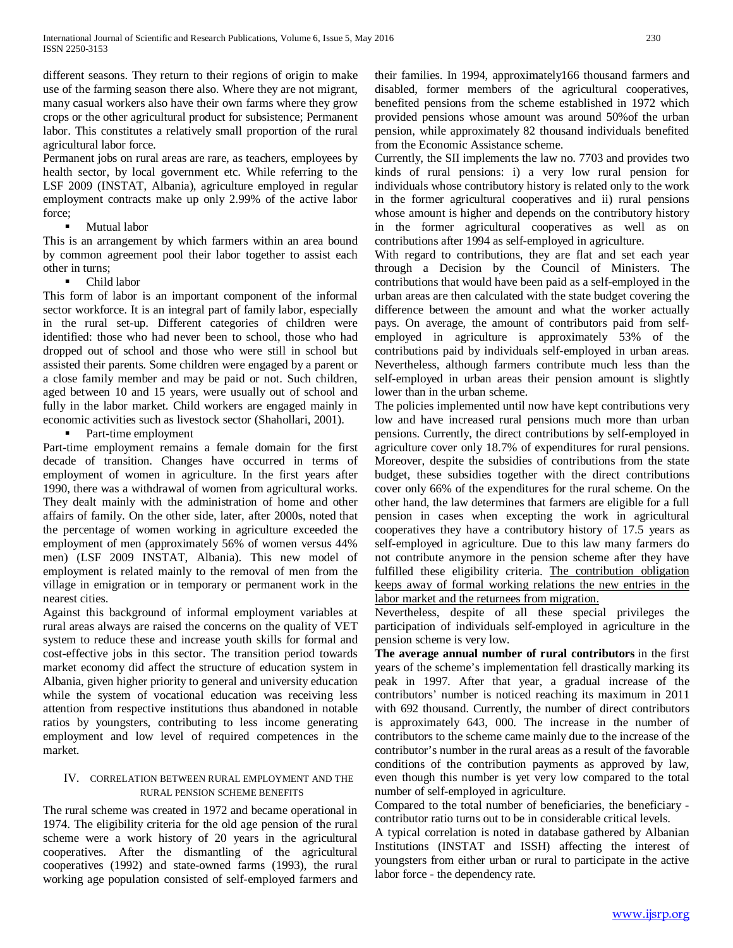different seasons. They return to their regions of origin to make use of the farming season there also. Where they are not migrant, many casual workers also have their own farms where they grow crops or the other agricultural product for subsistence; Permanent labor. This constitutes a relatively small proportion of the rural agricultural labor force.

Permanent jobs on rural areas are rare, as teachers, employees by health sector, by local government etc. While referring to the LSF 2009 (INSTAT, Albania), agriculture employed in regular employment contracts make up only 2.99% of the active labor force;

#### Mutual labor

This is an arrangement by which farmers within an area bound by common agreement pool their labor together to assist each other in turns;

• Child labor

This form of labor is an important component of the informal sector workforce. It is an integral part of family labor, especially in the rural set-up. Different categories of children were identified: those who had never been to school, those who had dropped out of school and those who were still in school but assisted their parents. Some children were engaged by a parent or a close family member and may be paid or not. Such children, aged between 10 and 15 years, were usually out of school and fully in the labor market. Child workers are engaged mainly in economic activities such as livestock sector (Shahollari, 2001).

• Part-time employment

Part-time employment remains a female domain for the first decade of transition. Changes have occurred in terms of employment of women in agriculture. In the first years after 1990, there was a withdrawal of women from agricultural works. They dealt mainly with the administration of home and other affairs of family. On the other side, later, after 2000s, noted that the percentage of women working in agriculture exceeded the employment of men (approximately 56% of women versus 44% men) (LSF 2009 INSTAT, Albania). This new model of employment is related mainly to the removal of men from the village in emigration or in temporary or permanent work in the nearest cities.

Against this background of informal employment variables at rural areas always are raised the concerns on the quality of VET system to reduce these and increase youth skills for formal and cost-effective jobs in this sector. The transition period towards market economy did affect the structure of education system in Albania, given higher priority to general and university education while the system of vocational education was receiving less attention from respective institutions thus abandoned in notable ratios by youngsters, contributing to less income generating employment and low level of required competences in the market.

## IV. CORRELATION BETWEEN RURAL EMPLOYMENT AND THE RURAL PENSION SCHEME BENEFITS

The rural scheme was created in 1972 and became operational in 1974. The eligibility criteria for the old age pension of the rural scheme were a work history of 20 years in the agricultural cooperatives. After the dismantling of the agricultural cooperatives (1992) and state-owned farms (1993), the rural working age population consisted of self-employed farmers and their families. In 1994, approximately166 thousand farmers and disabled, former members of the agricultural cooperatives, benefited pensions from the scheme established in 1972 which provided pensions whose amount was around 50%of the urban pension, while approximately 82 thousand individuals benefited from the Economic Assistance scheme.

Currently, the SII implements the law no. 7703 and provides two kinds of rural pensions: i) a very low rural pension for individuals whose contributory history is related only to the work in the former agricultural cooperatives and ii) rural pensions whose amount is higher and depends on the contributory history in the former agricultural cooperatives as well as on contributions after 1994 as self-employed in agriculture.

With regard to contributions, they are flat and set each year through a Decision by the Council of Ministers. The contributions that would have been paid as a self-employed in the urban areas are then calculated with the state budget covering the difference between the amount and what the worker actually pays. On average, the amount of contributors paid from selfemployed in agriculture is approximately 53% of the contributions paid by individuals self-employed in urban areas. Nevertheless, although farmers contribute much less than the self-employed in urban areas their pension amount is slightly lower than in the urban scheme.

The policies implemented until now have kept contributions very low and have increased rural pensions much more than urban pensions. Currently, the direct contributions by self-employed in agriculture cover only 18.7% of expenditures for rural pensions. Moreover, despite the subsidies of contributions from the state budget, these subsidies together with the direct contributions cover only 66% of the expenditures for the rural scheme. On the other hand, the law determines that farmers are eligible for a full pension in cases when excepting the work in agricultural cooperatives they have a contributory history of 17.5 years as self-employed in agriculture. Due to this law many farmers do not contribute anymore in the pension scheme after they have fulfilled these eligibility criteria. The contribution obligation keeps away of formal working relations the new entries in the labor market and the returnees from migration.

Nevertheless, despite of all these special privileges the participation of individuals self-employed in agriculture in the pension scheme is very low.

**The average annual number of rural contributors** in the first years of the scheme's implementation fell drastically marking its peak in 1997. After that year, a gradual increase of the contributors' number is noticed reaching its maximum in 2011 with 692 thousand. Currently, the number of direct contributors is approximately 643, 000. The increase in the number of contributors to the scheme came mainly due to the increase of the contributor's number in the rural areas as a result of the favorable conditions of the contribution payments as approved by law, even though this number is yet very low compared to the total number of self-employed in agriculture.

Compared to the total number of beneficiaries, the beneficiary contributor ratio turns out to be in considerable critical levels.

A typical correlation is noted in database gathered by Albanian Institutions (INSTAT and ISSH) affecting the interest of youngsters from either urban or rural to participate in the active labor force - the dependency rate.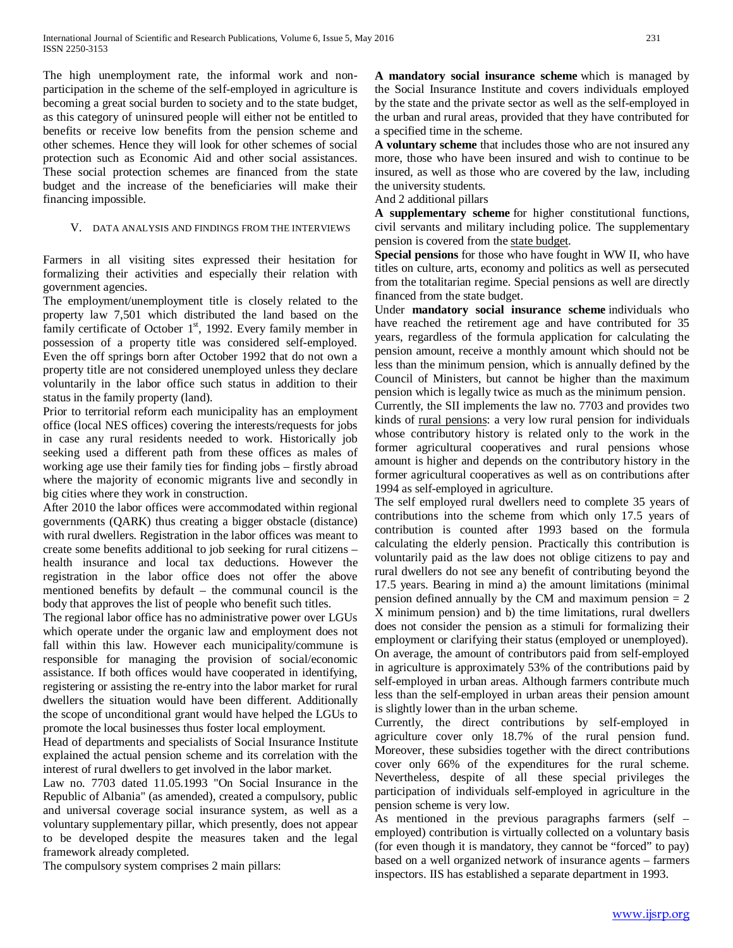The high unemployment rate, the informal work and nonparticipation in the scheme of the self-employed in agriculture is becoming a great social burden to society and to the state budget, as this category of uninsured people will either not be entitled to benefits or receive low benefits from the pension scheme and other schemes. Hence they will look for other schemes of social protection such as Economic Aid and other social assistances. These social protection schemes are financed from the state budget and the increase of the beneficiaries will make their financing impossible.

#### V. DATA ANALYSIS AND FINDINGS FROM THE INTERVIEWS

Farmers in all visiting sites expressed their hesitation for formalizing their activities and especially their relation with government agencies.

The employment/unemployment title is closely related to the property law 7,501 which distributed the land based on the family certificate of October 1<sup>st</sup>, 1992. Every family member in possession of a property title was considered self-employed. Even the off springs born after October 1992 that do not own a property title are not considered unemployed unless they declare voluntarily in the labor office such status in addition to their status in the family property (land).

Prior to territorial reform each municipality has an employment office (local NES offices) covering the interests/requests for jobs in case any rural residents needed to work. Historically job seeking used a different path from these offices as males of working age use their family ties for finding jobs – firstly abroad where the majority of economic migrants live and secondly in big cities where they work in construction.

After 2010 the labor offices were accommodated within regional governments (QARK) thus creating a bigger obstacle (distance) with rural dwellers. Registration in the labor offices was meant to create some benefits additional to job seeking for rural citizens – health insurance and local tax deductions. However the registration in the labor office does not offer the above mentioned benefits by default – the communal council is the body that approves the list of people who benefit such titles.

The regional labor office has no administrative power over LGUs which operate under the organic law and employment does not fall within this law. However each municipality/commune is responsible for managing the provision of social/economic assistance. If both offices would have cooperated in identifying, registering or assisting the re-entry into the labor market for rural dwellers the situation would have been different. Additionally the scope of unconditional grant would have helped the LGUs to promote the local businesses thus foster local employment.

Head of departments and specialists of Social Insurance Institute explained the actual pension scheme and its correlation with the interest of rural dwellers to get involved in the labor market.

Law no. 7703 dated 11.05.1993 "On Social Insurance in the Republic of Albania" (as amended), created a compulsory, public and universal coverage social insurance system, as well as a voluntary supplementary pillar, which presently, does not appear to be developed despite the measures taken and the legal framework already completed.

The compulsory system comprises 2 main pillars:

**A mandatory social insurance scheme** which is managed by the Social Insurance Institute and covers individuals employed by the state and the private sector as well as the self-employed in the urban and rural areas, provided that they have contributed for a specified time in the scheme.

**A voluntary scheme** that includes those who are not insured any more, those who have been insured and wish to continue to be insured, as well as those who are covered by the law, including the university students.

#### And 2 additional pillars

**A supplementary scheme** for higher constitutional functions, civil servants and military including police. The supplementary pension is covered from the state budget.

**Special pensions** for those who have fought in WW II, who have titles on culture, arts, economy and politics as well as persecuted from the totalitarian regime. Special pensions as well are directly financed from the state budget.

Under **mandatory social insurance scheme** individuals who have reached the retirement age and have contributed for 35 years, regardless of the formula application for calculating the pension amount, receive a monthly amount which should not be less than the minimum pension, which is annually defined by the Council of Ministers, but cannot be higher than the maximum pension which is legally twice as much as the minimum pension. Currently, the SII implements the law no. 7703 and provides two kinds of rural pensions: a very low rural pension for individuals whose contributory history is related only to the work in the former agricultural cooperatives and rural pensions whose amount is higher and depends on the contributory history in the former agricultural cooperatives as well as on contributions after 1994 as self-employed in agriculture.

The self employed rural dwellers need to complete 35 years of contributions into the scheme from which only 17.5 years of contribution is counted after 1993 based on the formula calculating the elderly pension. Practically this contribution is voluntarily paid as the law does not oblige citizens to pay and rural dwellers do not see any benefit of contributing beyond the 17.5 years. Bearing in mind a) the amount limitations (minimal pension defined annually by the CM and maximum pension  $= 2$ X minimum pension) and b) the time limitations, rural dwellers does not consider the pension as a stimuli for formalizing their employment or clarifying their status (employed or unemployed). On average, the amount of contributors paid from self-employed in agriculture is approximately 53% of the contributions paid by self-employed in urban areas. Although farmers contribute much less than the self-employed in urban areas their pension amount is slightly lower than in the urban scheme.

Currently, the direct contributions by self-employed in agriculture cover only 18.7% of the rural pension fund. Moreover, these subsidies together with the direct contributions cover only 66% of the expenditures for the rural scheme. Nevertheless, despite of all these special privileges the participation of individuals self-employed in agriculture in the pension scheme is very low.

As mentioned in the previous paragraphs farmers (self – employed) contribution is virtually collected on a voluntary basis (for even though it is mandatory, they cannot be "forced" to pay) based on a well organized network of insurance agents – farmers inspectors. IIS has established a separate department in 1993.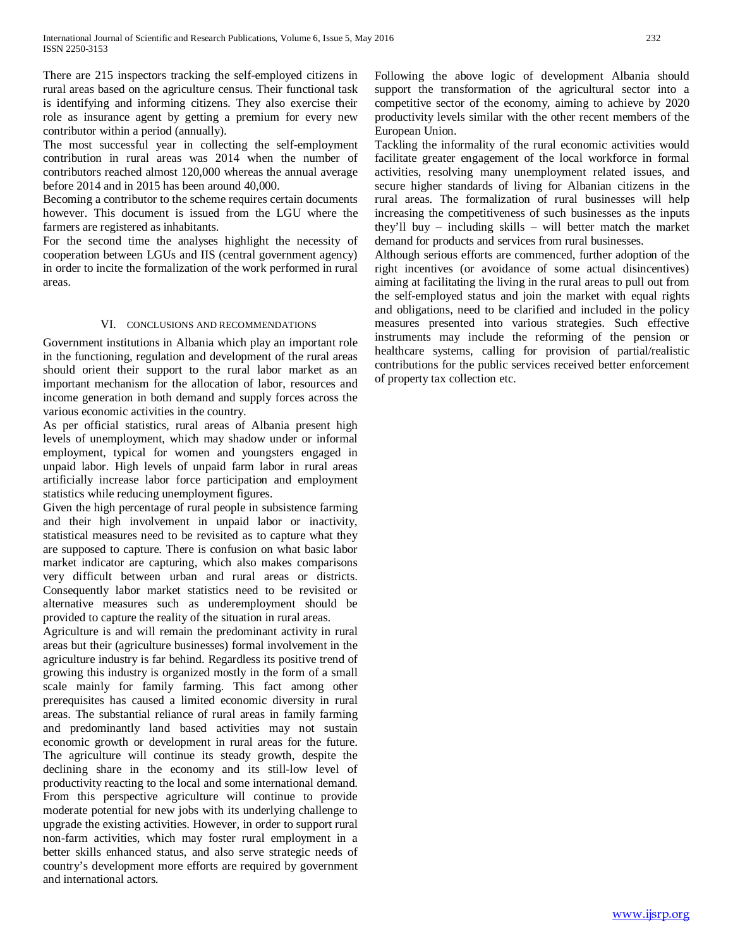There are 215 inspectors tracking the self-employed citizens in rural areas based on the agriculture census. Their functional task is identifying and informing citizens. They also exercise their role as insurance agent by getting a premium for every new contributor within a period (annually).

The most successful year in collecting the self-employment contribution in rural areas was 2014 when the number of contributors reached almost 120,000 whereas the annual average before 2014 and in 2015 has been around 40,000.

Becoming a contributor to the scheme requires certain documents however. This document is issued from the LGU where the farmers are registered as inhabitants.

For the second time the analyses highlight the necessity of cooperation between LGUs and IIS (central government agency) in order to incite the formalization of the work performed in rural areas.

#### VI. CONCLUSIONS AND RECOMMENDATIONS

Government institutions in Albania which play an important role in the functioning, regulation and development of the rural areas should orient their support to the rural labor market as an important mechanism for the allocation of labor, resources and income generation in both demand and supply forces across the various economic activities in the country.

As per official statistics, rural areas of Albania present high levels of unemployment, which may shadow under or informal employment, typical for women and youngsters engaged in unpaid labor. High levels of unpaid farm labor in rural areas artificially increase labor force participation and employment statistics while reducing unemployment figures.

Given the high percentage of rural people in subsistence farming and their high involvement in unpaid labor or inactivity, statistical measures need to be revisited as to capture what they are supposed to capture. There is confusion on what basic labor market indicator are capturing, which also makes comparisons very difficult between urban and rural areas or districts. Consequently labor market statistics need to be revisited or alternative measures such as underemployment should be provided to capture the reality of the situation in rural areas.

Agriculture is and will remain the predominant activity in rural areas but their (agriculture businesses) formal involvement in the agriculture industry is far behind. Regardless its positive trend of growing this industry is organized mostly in the form of a small scale mainly for family farming. This fact among other prerequisites has caused a limited economic diversity in rural areas. The substantial reliance of rural areas in family farming and predominantly land based activities may not sustain economic growth or development in rural areas for the future. The agriculture will continue its steady growth, despite the declining share in the economy and its still-low level of productivity reacting to the local and some international demand. From this perspective agriculture will continue to provide moderate potential for new jobs with its underlying challenge to upgrade the existing activities. However, in order to support rural non-farm activities, which may foster rural employment in a better skills enhanced status, and also serve strategic needs of country's development more efforts are required by government and international actors.

Following the above logic of development Albania should support the transformation of the agricultural sector into a competitive sector of the economy, aiming to achieve by 2020 productivity levels similar with the other recent members of the European Union.

Tackling the informality of the rural economic activities would facilitate greater engagement of the local workforce in formal activities, resolving many unemployment related issues, and secure higher standards of living for Albanian citizens in the rural areas. The formalization of rural businesses will help increasing the competitiveness of such businesses as the inputs they'll buy – including skills – will better match the market demand for products and services from rural businesses.

Although serious efforts are commenced, further adoption of the right incentives (or avoidance of some actual disincentives) aiming at facilitating the living in the rural areas to pull out from the self-employed status and join the market with equal rights and obligations, need to be clarified and included in the policy measures presented into various strategies. Such effective instruments may include the reforming of the pension or healthcare systems, calling for provision of partial/realistic contributions for the public services received better enforcement of property tax collection etc.